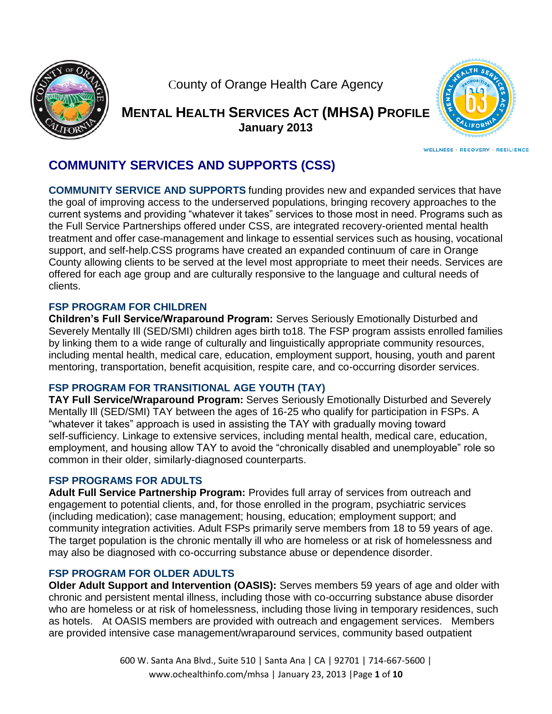

County of Orange Health Care Agency

**MENTAL HEALTH SERVICES ACT (MHSA) PROFILE January 2013**



**WELLNESS · RECOVERY · RESILIENCE** 

# **COMMUNITY SERVICES AND SUPPORTS (CSS)**

**COMMUNITY SERVICE AND SUPPORTS** funding provides new and expanded services that have the goal of improving access to the underserved populations, bringing recovery approaches to the current systems and providing "whatever it takes" services to those most in need. Programs such as the Full Service Partnerships offered under CSS, are integrated recovery-oriented mental health treatment and offer case-management and linkage to essential services such as housing, vocational support, and self-help.CSS programs have created an expanded continuum of care in Orange County allowing clients to be served at the level most appropriate to meet their needs. Services are offered for each age group and are culturally responsive to the language and cultural needs of clients.

## **FSP PROGRAM FOR CHILDREN**

**Children's Full Service/Wraparound Program:** Serves Seriously Emotionally Disturbed and Severely Mentally Ill (SED/SMI) children ages birth to18. The FSP program assists enrolled families by linking them to a wide range of culturally and linguistically appropriate community resources, including mental health, medical care, education, employment support, housing, youth and parent mentoring, transportation, benefit acquisition, respite care, and co-occurring disorder services.

# **FSP PROGRAM FOR TRANSITIONAL AGE YOUTH (TAY)**

**TAY Full Service/Wraparound Program:** Serves Seriously Emotionally Disturbed and Severely Mentally Ill (SED/SMI) TAY between the ages of 16-25 who qualify for participation in FSPs. A "whatever it takes" approach is used in assisting the TAY with gradually moving toward self-sufficiency. Linkage to extensive services, including mental health, medical care, education, employment, and housing allow TAY to avoid the "chronically disabled and unemployable" role so common in their older, similarly-diagnosed counterparts.

## **FSP PROGRAMS FOR ADULTS**

**Adult Full Service Partnership Program:** Provides full array of services from outreach and engagement to potential clients, and, for those enrolled in the program, psychiatric services (including medication); case management; housing, education; employment support; and community integration activities. Adult FSPs primarily serve members from 18 to 59 years of age. The target population is the chronic mentally ill who are homeless or at risk of homelessness and may also be diagnosed with co-occurring substance abuse or dependence disorder.

## **FSP PROGRAM FOR OLDER ADULTS**

**Older Adult Support and Intervention (OASIS):** Serves members 59 years of age and older with chronic and persistent mental illness, including those with co-occurring substance abuse disorder who are homeless or at risk of homelessness, including those living in temporary residences, such as hotels. At OASIS members are provided with outreach and engagement services. Members are provided intensive case management/wraparound services, community based outpatient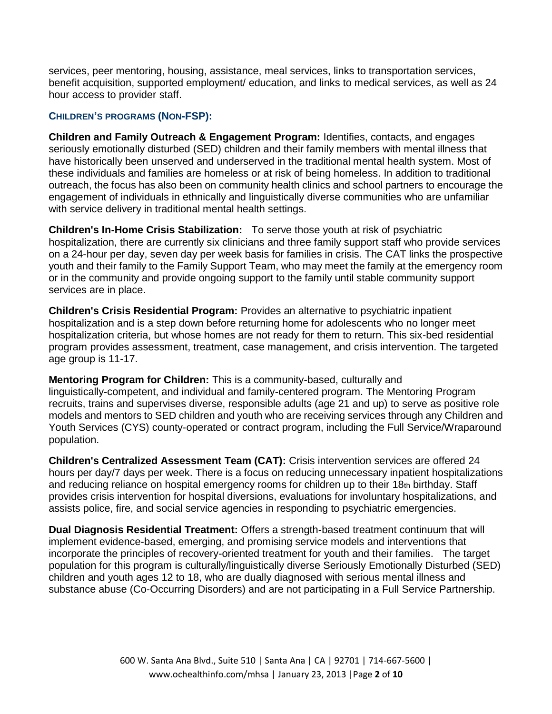services, peer mentoring, housing, assistance, meal services, links to transportation services, benefit acquisition, supported employment/ education, and links to medical services, as well as 24 hour access to provider staff.

#### **CHILDREN'S PROGRAMS (NON-FSP):**

**Children and Family Outreach & Engagement Program:** Identifies, contacts, and engages seriously emotionally disturbed (SED) children and their family members with mental illness that have historically been unserved and underserved in the traditional mental health system. Most of these individuals and families are homeless or at risk of being homeless. In addition to traditional outreach, the focus has also been on community health clinics and school partners to encourage the engagement of individuals in ethnically and linguistically diverse communities who are unfamiliar with service delivery in traditional mental health settings.

**Children's In-Home Crisis Stabilization:** To serve those youth at risk of psychiatric hospitalization, there are currently six clinicians and three family support staff who provide services on a 24-hour per day, seven day per week basis for families in crisis. The CAT links the prospective youth and their family to the Family Support Team, who may meet the family at the emergency room or in the community and provide ongoing support to the family until stable community support services are in place.

**Children's Crisis Residential Program:** Provides an alternative to psychiatric inpatient hospitalization and is a step down before returning home for adolescents who no longer meet hospitalization criteria, but whose homes are not ready for them to return. This six-bed residential program provides assessment, treatment, case management, and crisis intervention. The targeted age group is 11-17.

**Mentoring Program for Children:** This is a community-based, culturally and

linguistically-competent, and individual and family-centered program. The Mentoring Program recruits, trains and supervises diverse, responsible adults (age 21 and up) to serve as positive role models and mentors to SED children and youth who are receiving services through any Children and Youth Services (CYS) county-operated or contract program, including the Full Service/Wraparound population.

**Children's Centralized Assessment Team (CAT):** Crisis intervention services are offered 24 hours per day/7 days per week. There is a focus on reducing unnecessary inpatient hospitalizations and reducing reliance on hospital emergency rooms for children up to their 18th birthday. Staff provides crisis intervention for hospital diversions, evaluations for involuntary hospitalizations, and assists police, fire, and social service agencies in responding to psychiatric emergencies.

**Dual Diagnosis Residential Treatment:** Offers a strength-based treatment continuum that will implement evidence-based, emerging, and promising service models and interventions that incorporate the principles of recovery-oriented treatment for youth and their families. The target population for this program is culturally/linguistically diverse Seriously Emotionally Disturbed (SED) children and youth ages 12 to 18, who are dually diagnosed with serious mental illness and substance abuse (Co-Occurring Disorders) and are not participating in a Full Service Partnership.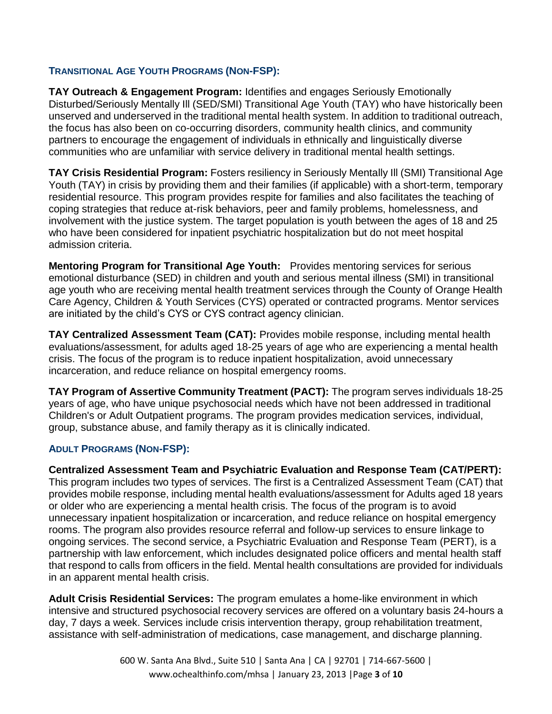## **TRANSITIONAL AGE YOUTH PROGRAMS (NON-FSP):**

**TAY Outreach & Engagement Program:** Identifies and engages Seriously Emotionally Disturbed/Seriously Mentally Ill (SED/SMI) Transitional Age Youth (TAY) who have historically been unserved and underserved in the traditional mental health system. In addition to traditional outreach, the focus has also been on co-occurring disorders, community health clinics, and community partners to encourage the engagement of individuals in ethnically and linguistically diverse communities who are unfamiliar with service delivery in traditional mental health settings.

**TAY Crisis Residential Program:** Fosters resiliency in Seriously Mentally Ill (SMI) Transitional Age Youth (TAY) in crisis by providing them and their families (if applicable) with a short-term, temporary residential resource. This program provides respite for families and also facilitates the teaching of coping strategies that reduce at-risk behaviors, peer and family problems, homelessness, and involvement with the justice system. The target population is youth between the ages of 18 and 25 who have been considered for inpatient psychiatric hospitalization but do not meet hospital admission criteria.

**Mentoring Program for Transitional Age Youth:** Provides mentoring services for serious emotional disturbance (SED) in children and youth and serious mental illness (SMI) in transitional age youth who are receiving mental health treatment services through the County of Orange Health Care Agency, Children & Youth Services (CYS) operated or contracted programs. Mentor services are initiated by the child's CYS or CYS contract agency clinician.

**TAY Centralized Assessment Team (CAT):** Provides mobile response, including mental health evaluations/assessment, for adults aged 18-25 years of age who are experiencing a mental health crisis. The focus of the program is to reduce inpatient hospitalization, avoid unnecessary incarceration, and reduce reliance on hospital emergency rooms.

**TAY Program of Assertive Community Treatment (PACT):** The program serves individuals 18-25 years of age, who have unique psychosocial needs which have not been addressed in traditional Children's or Adult Outpatient programs. The program provides medication services, individual, group, substance abuse, and family therapy as it is clinically indicated. Ĭ

## **ADULT PROGRAMS (NON-FSP):**

**Centralized Assessment Team and Psychiatric Evaluation and Response Team (CAT/PERT):** This program includes two types of services. The first is a Centralized Assessment Team (CAT) that provides mobile response, including mental health evaluations/assessment for Adults aged 18 years or older who are experiencing a mental health crisis. The focus of the program is to avoid unnecessary inpatient hospitalization or incarceration, and reduce reliance on hospital emergency rooms. The program also provides resource referral and follow-up services to ensure linkage to ongoing services. The second service, a Psychiatric Evaluation and Response Team (PERT), is a partnership with law enforcement, which includes designated police officers and mental health staff that respond to calls from officers in the field. Mental health consultations are provided for individuals in an apparent mental health crisis.

**Adult Crisis Residential Services:** The program emulates a home-like environment in which intensive and structured psychosocial recovery services are offered on a voluntary basis 24-hours a day, 7 days a week. Services include crisis intervention therapy, group rehabilitation treatment, assistance with self-administration of medications, case management, and discharge planning.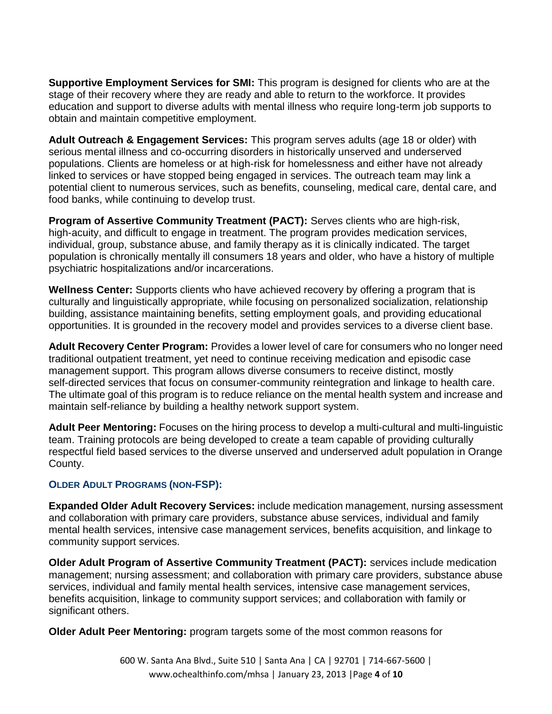**Supportive Employment Services for SMI:** This program is designed for clients who are at the stage of their recovery where they are ready and able to return to the workforce. It provides education and support to diverse adults with mental illness who require long-term job supports to obtain and maintain competitive employment.

**Adult Outreach & Engagement Services:** This program serves adults (age 18 or older) with serious mental illness and co-occurring disorders in historically unserved and underserved populations. Clients are homeless or at high-risk for homelessness and either have not already linked to services or have stopped being engaged in services. The outreach team may link a potential client to numerous services, such as benefits, counseling, medical care, dental care, and food banks, while continuing to develop trust.

**Program of Assertive Community Treatment (PACT):** Serves clients who are high-risk, high-acuity, and difficult to engage in treatment. The program provides medication services, individual, group, substance abuse, and family therapy as it is clinically indicated. The target population is chronically mentally ill consumers 18 years and older, who have a history of multiple psychiatric hospitalizations and/or incarcerations.

**Wellness Center:** Supports clients who have achieved recovery by offering a program that is culturally and linguistically appropriate, while focusing on personalized socialization, relationship building, assistance maintaining benefits, setting employment goals, and providing educational opportunities. It is grounded in the recovery model and provides services to a diverse client base.

**Adult Recovery Center Program:** Provides a lower level of care for consumers who no longer need traditional outpatient treatment, yet need to continue receiving medication and episodic case management support. This program allows diverse consumers to receive distinct, mostly self-directed services that focus on consumer-community reintegration and linkage to health care. The ultimate goal of this program is to reduce reliance on the mental health system and increase and maintain self-reliance by building a healthy network support system.

**Adult Peer Mentoring:** Focuses on the hiring process to develop a multi-cultural and multi-linguistic team. Training protocols are being developed to create a team capable of providing culturally respectful field based services to the diverse unserved and underserved adult population in Orange County.

## **OLDER ADULT PROGRAMS (NON-FSP):**

**Expanded Older Adult Recovery Services:** include medication management, nursing assessment and collaboration with primary care providers, substance abuse services, individual and family mental health services, intensive case management services, benefits acquisition, and linkage to community support services.

**Older Adult Program of Assertive Community Treatment (PACT):** services include medication management; nursing assessment; and collaboration with primary care providers, substance abuse services, individual and family mental health services, intensive case management services, benefits acquisition, linkage to community support services; and collaboration with family or significant others.

**Older Adult Peer Mentoring:** program targets some of the most common reasons for

600 W. Santa Ana Blvd., Suite 510 | Santa Ana | CA | 92701 | 714-667-5600 | www.ochealthinfo.com/mhsa | January 23, 2013 |Page **4** of **10**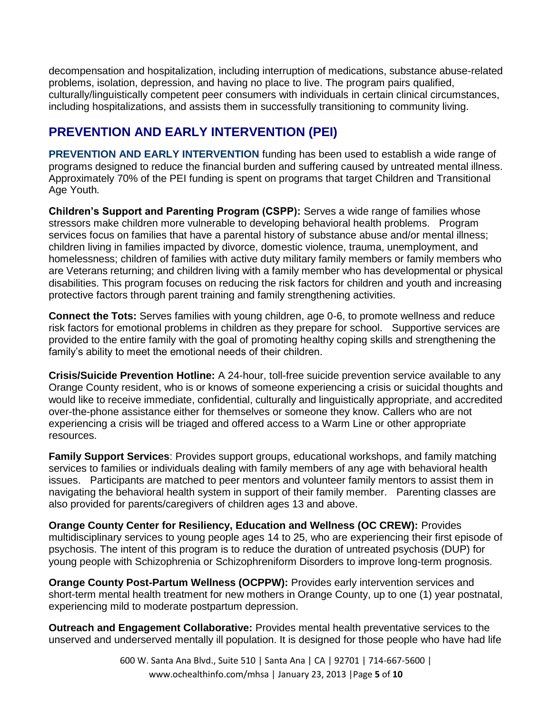decompensation and hospitalization, including interruption of medications, substance abuse-related problems, isolation, depression, and having no place to live. The program pairs qualified, culturally/linguistically competent peer consumers with individuals in certain clinical circumstances, including hospitalizations, and assists them in successfully transitioning to community living.

# **PREVENTION AND EARLY INTERVENTION (PEI)**

**PREVENTION AND EARLY INTERVENTION** funding has been used to establish a wide range of programs designed to reduce the financial burden and suffering caused by untreated mental illness. Approximately 70% of the PEI funding is spent on programs that target Children and Transitional Age Youth*.*

**Children's Support and Parenting Program (CSPP):** Serves a wide range of families whose stressors make children more vulnerable to developing behavioral health problems. Program services focus on families that have a parental history of substance abuse and/or mental illness; children living in families impacted by divorce, domestic violence, trauma, unemployment, and homelessness; children of families with active duty military family members or family members who are Veterans returning; and children living with a family member who has developmental or physical disabilities. This program focuses on reducing the risk factors for children and youth and increasing protective factors through parent training and family strengthening activities.

**Connect the Tots:** Serves families with young children, age 0-6, to promote wellness and reduce risk factors for emotional problems in children as they prepare for school. Supportive services are provided to the entire family with the goal of promoting healthy coping skills and strengthening the family's ability to meet the emotional needs of their children.

**Crisis/Suicide Prevention Hotline:** A 24-hour, toll-free suicide prevention service available to any Orange County resident, who is or knows of someone experiencing a crisis or suicidal thoughts and would like to receive immediate, confidential, culturally and linguistically appropriate, and accredited over-the-phone assistance either for themselves or someone they know. Callers who are not experiencing a crisis will be triaged and offered access to a Warm Line or other appropriate resources.

**Family Support Services**: Provides support groups, educational workshops, and family matching services to families or individuals dealing with family members of any age with behavioral health issues. Participants are matched to peer mentors and volunteer family mentors to assist them in navigating the behavioral health system in support of their family member. Parenting classes are also provided for parents/caregivers of children ages 13 and above.

**Orange County Center for Resiliency, Education and Wellness (OC CREW):** Provides multidisciplinary services to young people ages 14 to 25, who are experiencing their first episode of psychosis. The intent of this program is to reduce the duration of untreated psychosis (DUP) for young people with Schizophrenia or Schizophreniform Disorders to improve long-term prognosis.

**Orange County Post-Partum Wellness (OCPPW):** Provides early intervention services and short-term mental health treatment for new mothers in Orange County, up to one (1) year postnatal, experiencing mild to moderate postpartum depression.

**Outreach and Engagement Collaborative:** Provides mental health preventative services to the unserved and underserved mentally ill population. It is designed for those people who have had life

> 600 W. Santa Ana Blvd., Suite 510 | Santa Ana | CA | 92701 | 714-667-5600 | www.ochealthinfo.com/mhsa | January 23, 2013 |Page **5** of **10**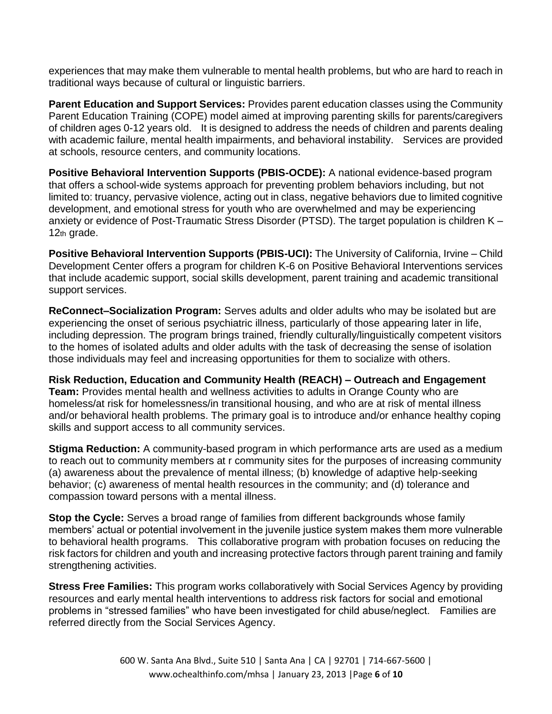experiences that may make them vulnerable to mental health problems, but who are hard to reach in traditional ways because of cultural or linguistic barriers.

**Parent Education and Support Services:** Provides parent education classes using the Community Parent Education Training (COPE) model aimed at improving parenting skills for parents/caregivers of children ages 0-12 years old. It is designed to address the needs of children and parents dealing with academic failure, mental health impairments, and behavioral instability. Services are provided at schools, resource centers, and community locations.

**Positive Behavioral Intervention Supports (PBIS-OCDE):** A national evidence-based program that offers a school-wide systems approach for preventing problem behaviors including, but not limited to: truancy, pervasive violence, acting out in class, negative behaviors due to limited cognitive development, and emotional stress for youth who are overwhelmed and may be experiencing anxiety or evidence of Post-Traumatic Stress Disorder (PTSD). The target population is children K – 12th grade.

**Positive Behavioral Intervention Supports (PBIS-UCI):** The University of California, Irvine – Child Development Center offers a program for children K-6 on Positive Behavioral Interventions services that include academic support, social skills development, parent training and academic transitional support services.

**ReConnect–Socialization Program:** Serves adults and older adults who may be isolated but are experiencing the onset of serious psychiatric illness, particularly of those appearing later in life, including depression. The program brings trained, friendly culturally/linguistically competent visitors to the homes of isolated adults and older adults with the task of decreasing the sense of isolation those individuals may feel and increasing opportunities for them to socialize with others.

**Risk Reduction, Education and Community Health (REACH) – Outreach and Engagement Team:** Provides mental health and wellness activities to adults in Orange County who are homeless/at risk for homelessness/in transitional housing, and who are at risk of mental illness and/or behavioral health problems. The primary goal is to introduce and/or enhance healthy coping skills and support access to all community services.

**Stigma Reduction:** A community-based program in which performance arts are used as a medium to reach out to community members at r community sites for the purposes of increasing community (a) awareness about the prevalence of mental illness; (b) knowledge of adaptive help-seeking behavior; (c) awareness of mental health resources in the community; and (d) tolerance and compassion toward persons with a mental illness.

**Stop the Cycle:** Serves a broad range of families from different backgrounds whose family members' actual or potential involvement in the juvenile justice system makes them more vulnerable to behavioral health programs. This collaborative program with probation focuses on reducing the risk factors for children and youth and increasing protective factors through parent training and family strengthening activities.

**Stress Free Families:** This program works collaboratively with Social Services Agency by providing resources and early mental health interventions to address risk factors for social and emotional problems in "stressed families" who have been investigated for child abuse/neglect. Families are referred directly from the Social Services Agency.

> 600 W. Santa Ana Blvd., Suite 510 | Santa Ana | CA | 92701 | 714-667-5600 | www.ochealthinfo.com/mhsa | January 23, 2013 |Page **6** of **10**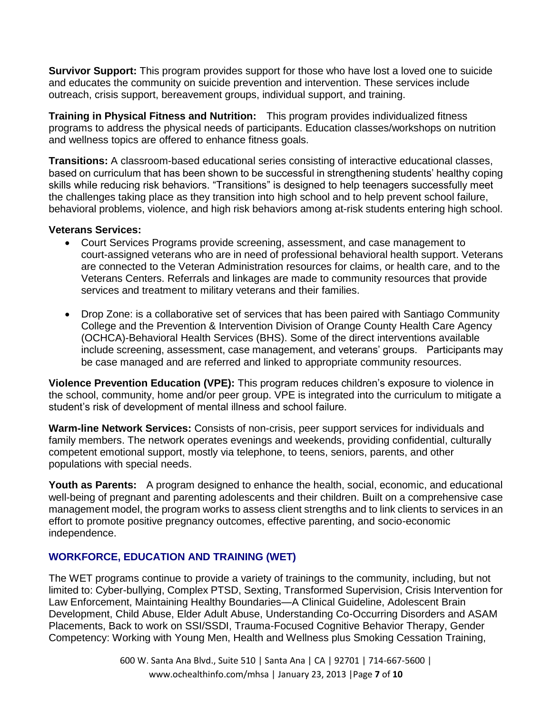**Survivor Support:** This program provides support for those who have lost a loved one to suicide and educates the community on suicide prevention and intervention. These services include outreach, crisis support, bereavement groups, individual support, and training.

**Training in Physical Fitness and Nutrition:** This program provides individualized fitness programs to address the physical needs of participants. Education classes/workshops on nutrition and wellness topics are offered to enhance fitness goals.

**Transitions:** A classroom-based educational series consisting of interactive educational classes, based on curriculum that has been shown to be successful in strengthening students' healthy coping skills while reducing risk behaviors. "Transitions" is designed to help teenagers successfully meet the challenges taking place as they transition into high school and to help prevent school failure, behavioral problems, violence, and high risk behaviors among at-risk students entering high school.

#### **Veterans Services:**

- Court Services Programs provide screening, assessment, and case management to court-assigned veterans who are in need of professional behavioral health support. Veterans are connected to the Veteran Administration resources for claims, or health care, and to the Veterans Centers. Referrals and linkages are made to community resources that provide services and treatment to military veterans and their families.
- Drop Zone: is a collaborative set of services that has been paired with Santiago Community College and the Prevention & Intervention Division of Orange County Health Care Agency (OCHCA)-Behavioral Health Services (BHS). Some of the direct interventions available include screening, assessment, case management, and veterans' groups. Participants may be case managed and are referred and linked to appropriate community resources.

**Violence Prevention Education (VPE):** This program reduces children's exposure to violence in the school, community, home and/or peer group. VPE is integrated into the curriculum to mitigate a student's risk of development of mental illness and school failure.

**Warm-line Network Services:** Consists of non-crisis, peer support services for individuals and family members. The network operates evenings and weekends, providing confidential, culturally competent emotional support, mostly via telephone, to teens, seniors, parents, and other populations with special needs.

**Youth as Parents:** A program designed to enhance the health, social, economic, and educational well-being of pregnant and parenting adolescents and their children. Built on a comprehensive case management model, the program works to assess client strengths and to link clients to services in an effort to promote positive pregnancy outcomes, effective parenting, and socio-economic independence.

## **WORKFORCE, EDUCATION AND TRAINING (WET)**

The WET programs continue to provide a variety of trainings to the community, including, but not limited to: Cyber-bullying, Complex PTSD, Sexting, Transformed Supervision, Crisis Intervention for Law Enforcement, Maintaining Healthy Boundaries—A Clinical Guideline, Adolescent Brain Development, Child Abuse, Elder Adult Abuse, Understanding Co-Occurring Disorders and ASAM Placements, Back to work on SSI/SSDI, Trauma-Focused Cognitive Behavior Therapy, Gender Competency: Working with Young Men, Health and Wellness plus Smoking Cessation Training,

> 600 W. Santa Ana Blvd., Suite 510 | Santa Ana | CA | 92701 | 714-667-5600 | www.ochealthinfo.com/mhsa | January 23, 2013 |Page **7** of **10**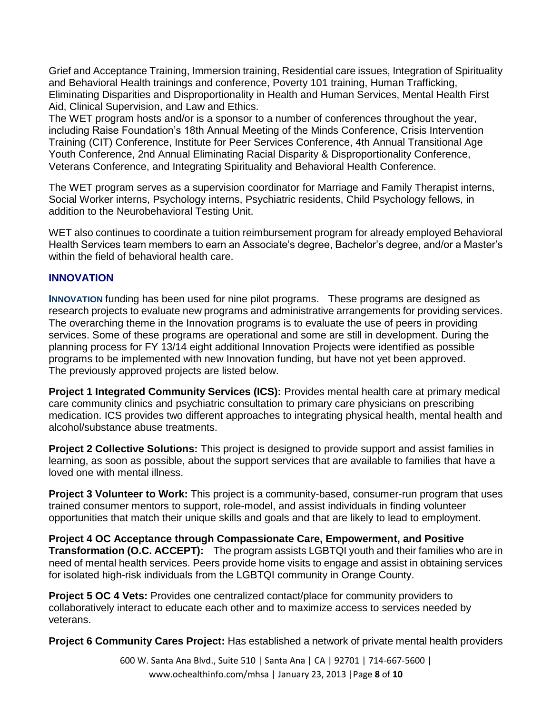Grief and Acceptance Training, Immersion training, Residential care issues, Integration of Spirituality and Behavioral Health trainings and conference, Poverty 101 training, Human Trafficking, Eliminating Disparities and Disproportionality in Health and Human Services, Mental Health First Aid, Clinical Supervision, and Law and Ethics.

The WET program hosts and/or is a sponsor to a number of conferences throughout the year, including Raise Foundation's 18th Annual Meeting of the Minds Conference, Crisis Intervention Training (CIT) Conference, Institute for Peer Services Conference, 4th Annual Transitional Age Youth Conference, 2nd Annual Eliminating Racial Disparity & Disproportionality Conference, Veterans Conference, and Integrating Spirituality and Behavioral Health Conference.

The WET program serves as a supervision coordinator for Marriage and Family Therapist interns, Social Worker interns, Psychology interns, Psychiatric residents, Child Psychology fellows, in addition to the Neurobehavioral Testing Unit.

WET also continues to coordinate a tuition reimbursement program for already employed Behavioral Health Services team members to earn an Associate's degree, Bachelor's degree, and/or a Master's within the field of behavioral health care.

#### **INNOVATION**

**INNOVATION** funding has been used for nine pilot programs. These programs are designed as research projects to evaluate new programs and administrative arrangements for providing services. The overarching theme in the Innovation programs is to evaluate the use of peers in providing services. Some of these programs are operational and some are still in development. During the planning process for FY 13/14 eight additional Innovation Projects were identified as possible programs to be implemented with new Innovation funding, but have not yet been approved. The previously approved projects are listed below.

**Project 1 Integrated Community Services (ICS):** Provides mental health care at primary medical care community clinics and psychiatric consultation to primary care physicians on prescribing medication. ICS provides two different approaches to integrating physical health, mental health and alcohol/substance abuse treatments.

**Project 2 Collective Solutions:** This project is designed to provide support and assist families in learning, as soon as possible, about the support services that are available to families that have a loved one with mental illness.

**Project 3 Volunteer to Work:** This project is a community-based, consumer-run program that uses trained consumer mentors to support, role-model, and assist individuals in finding volunteer opportunities that match their unique skills and goals and that are likely to lead to employment.

**Project 4 OC Acceptance through Compassionate Care, Empowerment, and Positive Transformation (O.C. ACCEPT):** The program assists LGBTQI youth and their families who are in need of mental health services. Peers provide home visits to engage and assist in obtaining services for isolated high-risk individuals from the LGBTQI community in Orange County.

**Project 5 OC 4 Vets: Provides one centralized contact/place for community providers to** collaboratively interact to educate each other and to maximize access to services needed by veterans.

**Project 6 Community Cares Project:** Has established a network of private mental health providers

600 W. Santa Ana Blvd., Suite 510 | Santa Ana | CA | 92701 | 714-667-5600 | www.ochealthinfo.com/mhsa | January 23, 2013 |Page **8** of **10**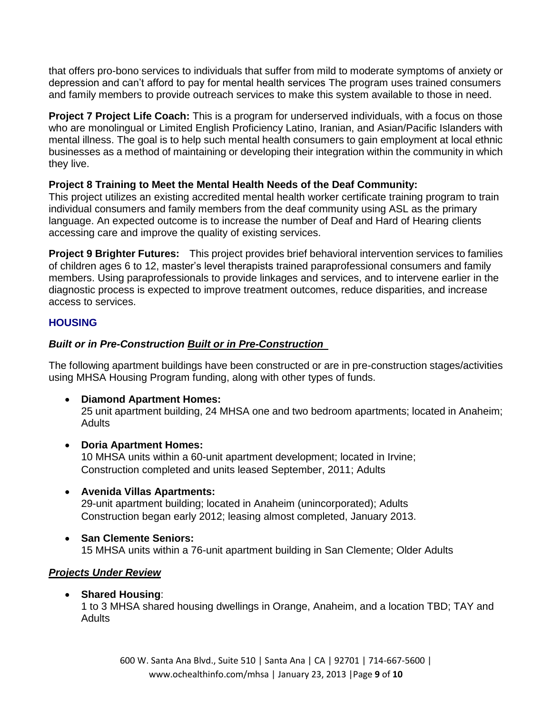that offers pro-bono services to individuals that suffer from mild to moderate symptoms of anxiety or depression and can't afford to pay for mental health services The program uses trained consumers and family members to provide outreach services to make this system available to those in need.

**Project 7 Project Life Coach:** This is a program for underserved individuals, with a focus on those who are monolingual or Limited English Proficiency Latino, Iranian, and Asian/Pacific Islanders with mental illness. The goal is to help such mental health consumers to gain employment at local ethnic businesses as a method of maintaining or developing their integration within the community in which they live.

# **Project 8 Training to Meet the Mental Health Needs of the Deaf Community:**

This project utilizes an existing accredited mental health worker certificate training program to train individual consumers and family members from the deaf community using ASL as the primary language. An expected outcome is to increase the number of Deaf and Hard of Hearing clients accessing care and improve the quality of existing services.

**Project 9 Brighter Futures:** This project provides brief behavioral intervention services to families of children ages 6 to 12, master's level therapists trained paraprofessional consumers and family members. Using paraprofessionals to provide linkages and services, and to intervene earlier in the diagnostic process is expected to improve treatment outcomes, reduce disparities, and increase access to services.

## **HOUSING**

# *Built or in Pre-Construction Built or in Pre-Construction*

The following apartment buildings have been constructed or are in pre-construction stages/activities using MHSA Housing Program funding, along with other types of funds.

**Diamond Apartment Homes:** 

25 unit apartment building, 24 MHSA one and two bedroom apartments; located in Anaheim; **Adults** 

**Doria Apartment Homes:** 

10 MHSA units within a 60-unit apartment development; located in Irvine; Construction completed and units leased September, 2011; Adults

- **Avenida Villas Apartments:**  29-unit apartment building; located in Anaheim (unincorporated); Adults Construction began early 2012; leasing almost completed, January 2013.
- **San Clemente Seniors:**  15 MHSA units within a 76-unit apartment building in San Clemente; Older Adults

## *Projects Under Review*

**Shared Housing**:

1 to 3 MHSA shared housing dwellings in Orange, Anaheim, and a location TBD; TAY and Adults